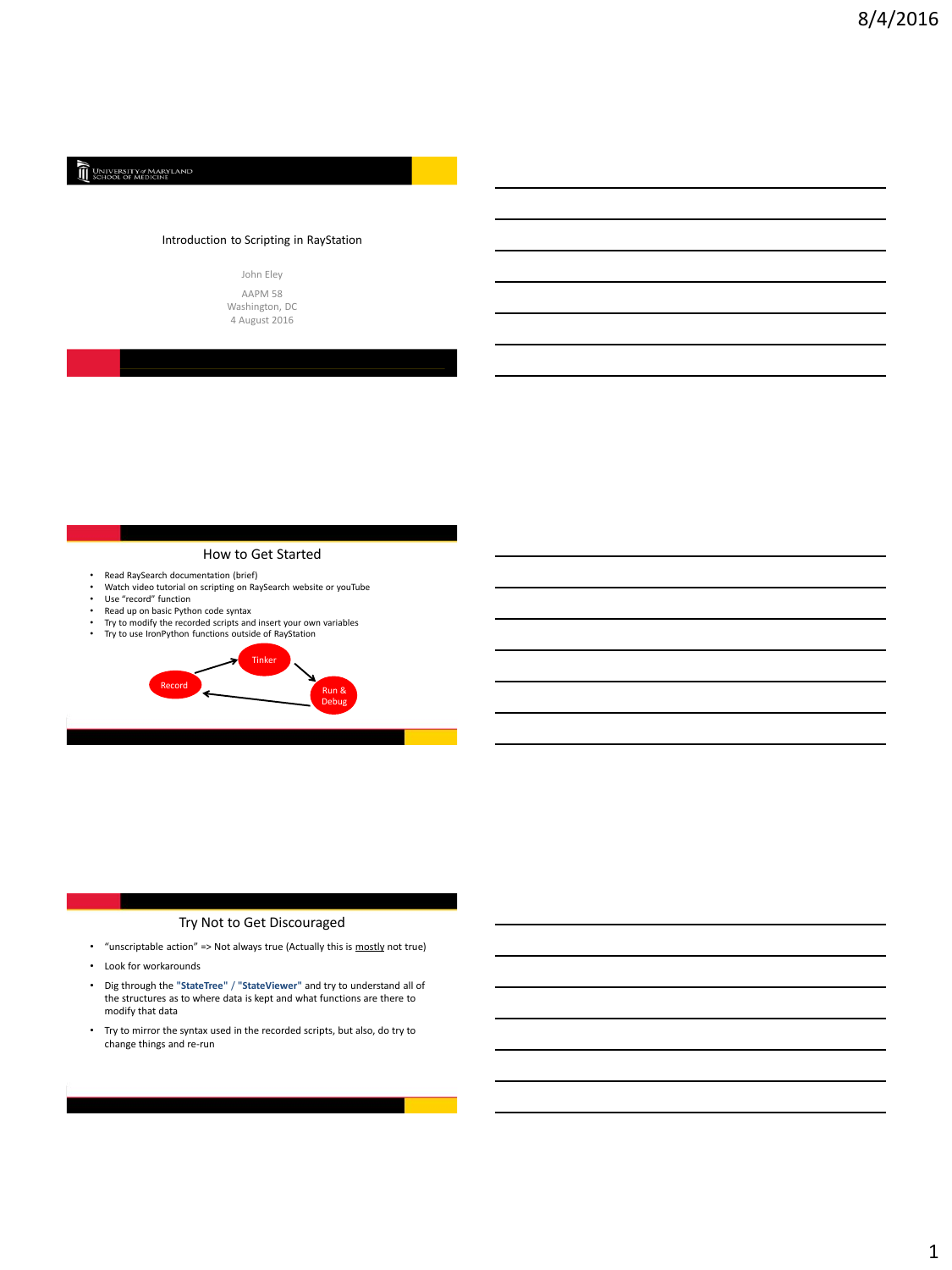# UNIVERSITY of MARYLAND

# Introduction to Scripting in RayStation



# How to Get Started

- 
- Read RaySearch documentation (brief) Watch video tutorial on scripting on RaySearch website or youTube Use "record" function
- 
- Read up on basic Python code syntax<br>• Try to modify the recorded scripts and
- Try to modify the recorded scripts and insert your own variables<br>• Try to use Iron Python functions outside of PayStation



# Try Not to Get Discouraged

- "unscriptable action" => Not always true (Actually this is mostly not true)
- Look for workarounds
- Dig through the **"StateTree"** / **"StateViewer"** and try to understand all of the structures as to where data is kept and what functions are there to modify that data
- Try to mirror the syntax used in the recorded scripts, but also, do try to change things and re-run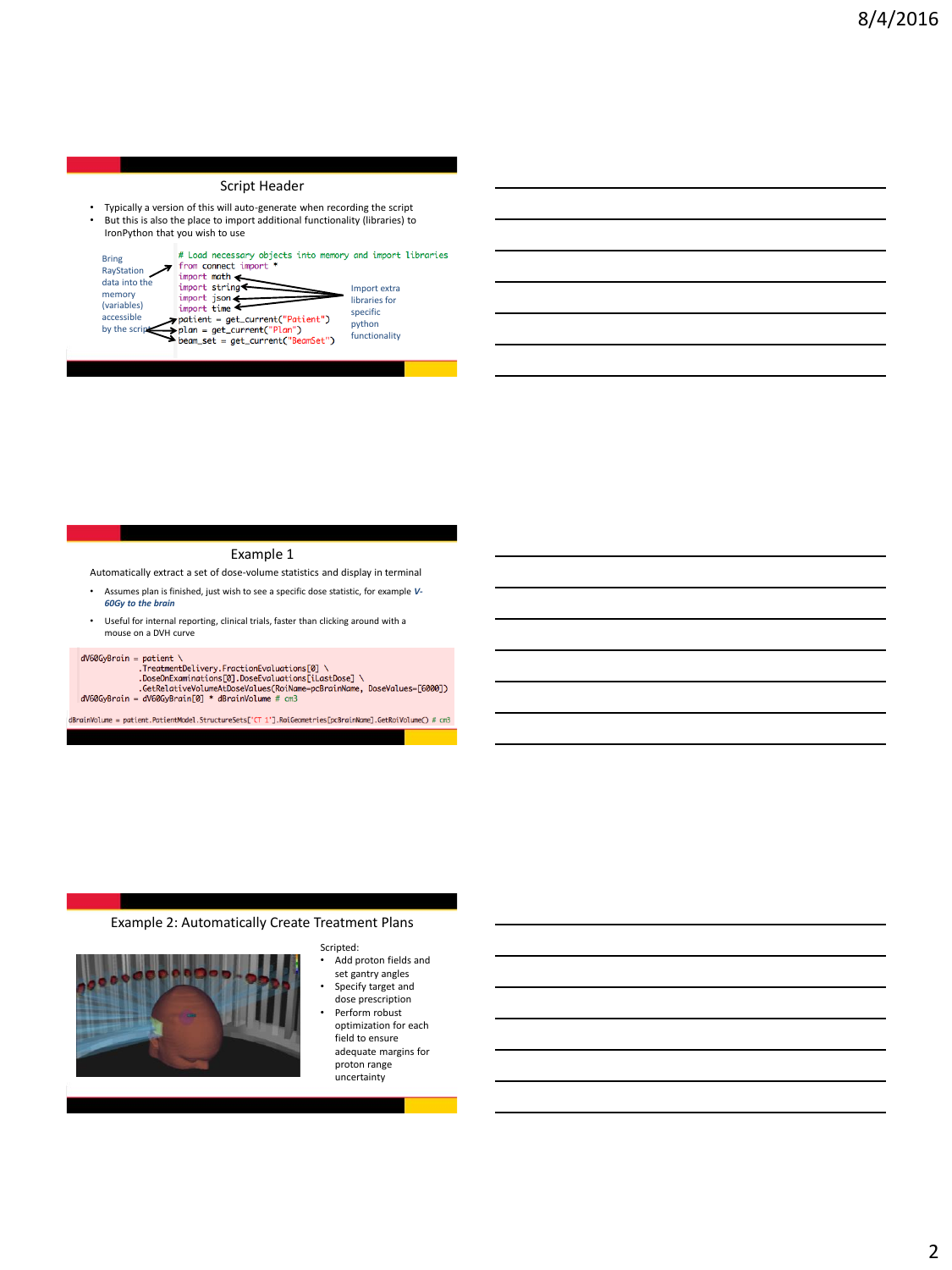# Script Header

• Typically a version of this will auto-generate when recording the script<br>• But this is also the place to import additional functionality (libraries) to But this is also the place to import additional functionality (libraries) to IronPython that you wish to use



# Example 1

Automatically extract a set of dose-volume statistics and display in terminal

- Assumes plan is finished, just wish to see a specific dose statistic, for example *V-60Gy to the brain*
- Useful for internal reporting, clinical trials, faster than clicking around with a mouse on a DVH curve

#### $dV60GvBrain = patient$

avexysrain = partent<br>
.DoseOnExaminations[0].DoseEvaluations[0] \<br>
.DoseOnExaminations[0].DoseEvaluations[iLastDose] \<br>
.GetRelativeVolumeAtDoseValueS(RoiName=pcBrainName, DoseValues=[6000])<br>dV60GyBrain = dV60GyBrain[0] \*

dBrainVolume = patient.PatientModel.StructureSets['CT 1'].RoiGeometries[pcBrainName].GetRoiVolume() # cm3

# Example 2: Automatically Create Treatment Plans



- Scripted: • Add proton fields and set gantry angles
- Specify target and dose prescription
- Perform robust optimization for each field to ensure adequate margins for proton range uncertainty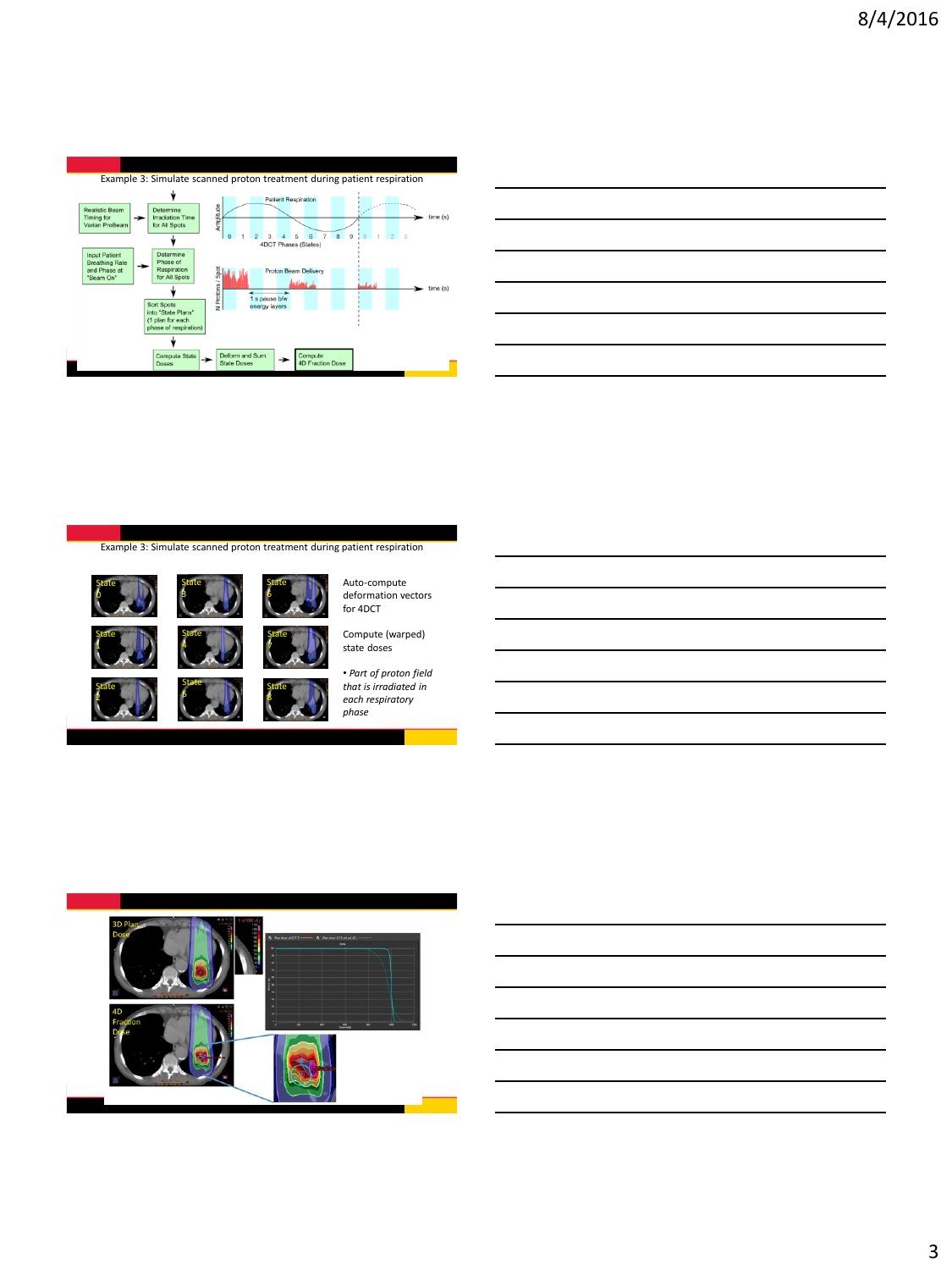

Example 3: Simulate scanned proton treatment during patient respiration

**State** 6

State



 $\frac{1}{\sqrt{2}}$ 

 $\frac{5t}{2}$ 



State 3 State 4 Auto-compute deformation vectors for 4DCT

Compute (warped) state doses

State of the state of the state of the state of the state of the state of the state of the state of the state o<br>State of the state of the state of the state of the state of the state of the state of the state of the state State 5



• *Part of proton field that is irradiated in each respiratory phase*